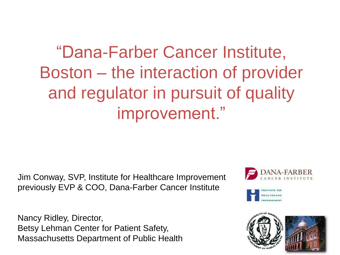## ―Dana-Farber Cancer Institute, Boston – the interaction of provider and regulator in pursuit of quality improvement."

Jim Conway, SVP, Institute for Healthcare Improvement previously EVP & COO, Dana-Farber Cancer Institute

Nancy Ridley, Director, Betsy Lehman Center for Patient Safety, Massachusetts Department of Public Health





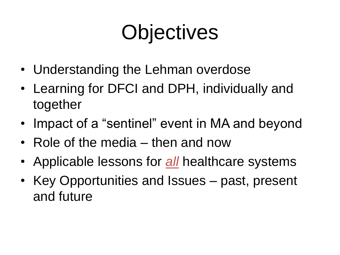# **Objectives**

- Understanding the Lehman overdose
- Learning for DFCI and DPH, individually and together
- Impact of a "sentinel" event in MA and beyond
- Role of the media then and now
- Applicable lessons for *all* healthcare systems
- Key Opportunities and Issues past, present and future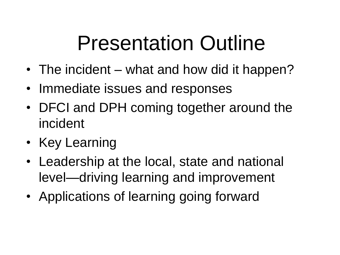# Presentation Outline

- The incident what and how did it happen?
- Immediate issues and responses
- DFCI and DPH coming together around the incident
- Key Learning
- Leadership at the local, state and national level—driving learning and improvement
- Applications of learning going forward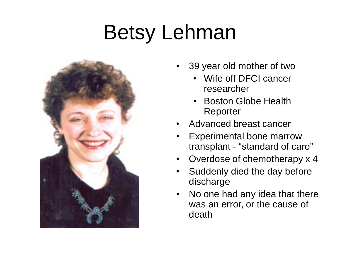# Betsy Lehman



- 39 year old mother of two
	- Wife off DFCI cancer researcher
	- Boston Globe Health Reporter
- Advanced breast cancer
- Experimental bone marrow transplant - "standard of care"
- Overdose of chemotherapy x 4
- Suddenly died the day before discharge
- No one had any idea that there was an error, or the cause of death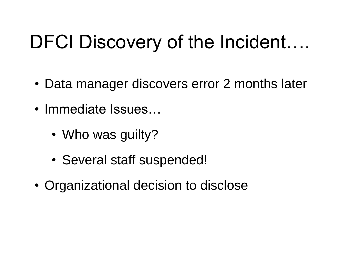## DFCI Discovery of the Incident....

- Data manager discovers error 2 months later
- Immediate Issues…
	- Who was guilty?
	- Several staff suspended!
- Organizational decision to disclose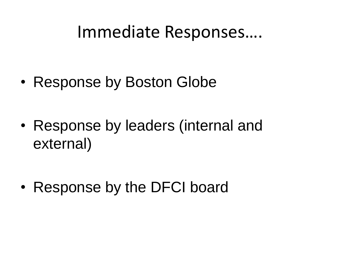#### Immediate Responses….

• Response by Boston Globe

• Response by leaders (internal and external)

• Response by the DFCI board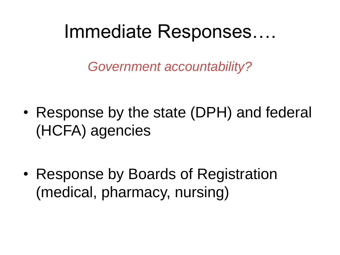## Immediate Responses….

*Government accountability?*

• Response by the state (DPH) and federal (HCFA) agencies

• Response by Boards of Registration (medical, pharmacy, nursing)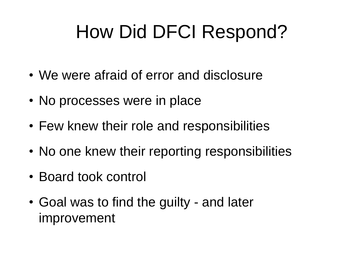# How Did DFCI Respond?

- We were afraid of error and disclosure
- No processes were in place
- Few knew their role and responsibilities
- No one knew their reporting responsibilities
- Board took control
- Goal was to find the guilty and later improvement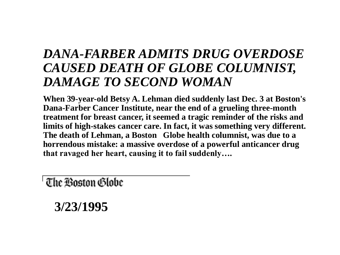#### *DANA-FARBER ADMITS DRUG OVERDOSE CAUSED DEATH OF GLOBE COLUMNIST, DAMAGE TO SECOND WOMAN*

**When 39-year-old Betsy A. Lehman died suddenly last Dec. 3 at Boston's Dana-Farber Cancer Institute, near the end of a grueling three-month treatment for breast cancer, it seemed a tragic reminder of the risks and limits of high-stakes cancer care. In fact, it was something very different. The death of Lehman, a Boston Globe health columnist, was due to a horrendous mistake: a massive overdose of a powerful anticancer drug that ravaged her heart, causing it to fail suddenly….**

' The Boston Globe

**3/23/1995**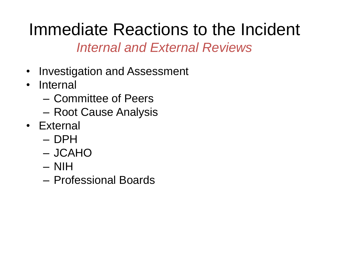#### Immediate Reactions to the Incident *Internal and External Reviews*

- Investigation and Assessment
- Internal
	- Committee of Peers
	- Root Cause Analysis
- External
	- DPH
	- JCAHO
	- NIH
	- Professional Boards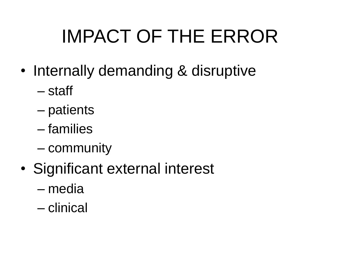# IMPACT OF THE ERROR

- Internally demanding & disruptive
	- staff
	- patients
	- families
	- community
- Significant external interest
	- media
	- clinical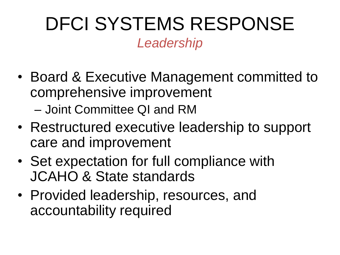## DFCI SYSTEMS RESPONSE *Leadership*

- Board & Executive Management committed to comprehensive improvement – Joint Committee QI and RM
- Restructured executive leadership to support care and improvement
- Set expectation for full compliance with JCAHO & State standards
- Provided leadership, resources, and accountability required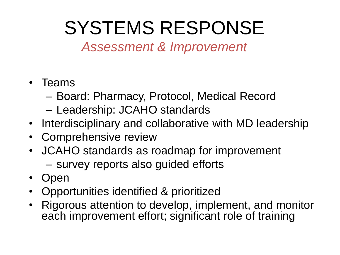## SYSTEMS RESPONSE

*Assessment & Improvement*

- Teams
	- Board: Pharmacy, Protocol, Medical Record
	- Leadership: JCAHO standards
- Interdisciplinary and collaborative with MD leadership
- Comprehensive review
- JCAHO standards as roadmap for improvement – survey reports also guided efforts
- Open
- Opportunities identified & prioritized
- Rigorous attention to develop, implement, and monitor each improvement effort; significant role of training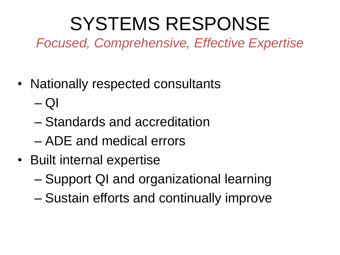## SYSTEMS RESPONSE

*Focused, Comprehensive, Effective Expertise*

- Nationally respected consultants
	- $-$  QI
	- Standards and accreditation
	- ADE and medical errors
- Built internal expertise
	- Support QI and organizational learning
	- Sustain efforts and continually improve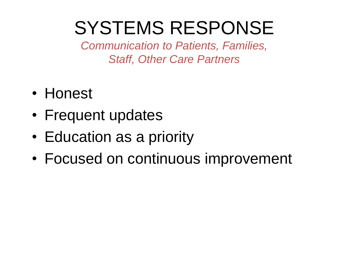## SYSTEMS RESPONSE

*Communication to Patients, Families, Staff, Other Care Partners*

- Honest
- Frequent updates
- Education as a priority
- Focused on continuous improvement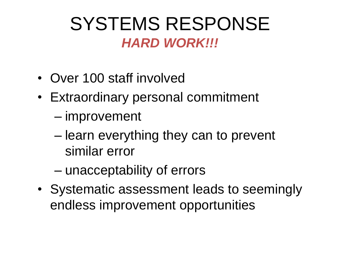### SYSTEMS RESPONSE *HARD WORK!!!*

- Over 100 staff involved
- Extraordinary personal commitment
	- improvement
	- learn everything they can to prevent similar error
	- unacceptability of errors
- Systematic assessment leads to seemingly endless improvement opportunities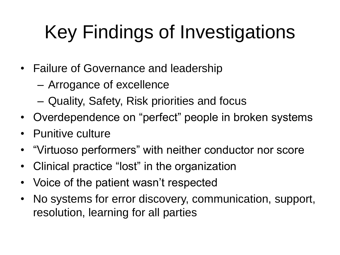## Key Findings of Investigations

- Failure of Governance and leadership
	- Arrogance of excellence
	- Quality, Safety, Risk priorities and focus
- Overdependence on "perfect" people in broken systems
- Punitive culture
- "Virtuoso performers" with neither conductor nor score
- Clinical practice "lost" in the organization
- Voice of the patient wasn't respected
- No systems for error discovery, communication, support, resolution, learning for all parties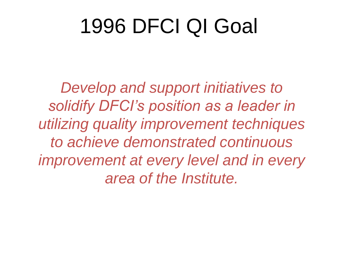# 1996 DFCI QI Goal

*Develop and support initiatives to solidify DFCI's position as a leader in utilizing quality improvement techniques to achieve demonstrated continuous improvement at every level and in every area of the Institute.*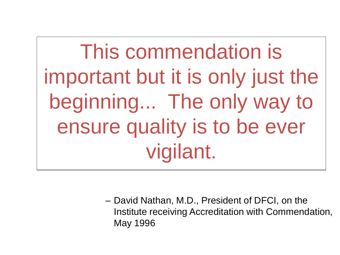This commendation is important but it is only just the beginning... The only way to ensure quality is to be ever vigilant.

> – David Nathan, M.D., President of DFCI, on the Institute receiving Accreditation with Commendation, May 1996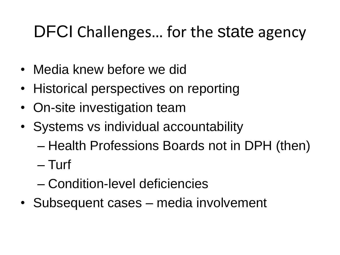## DFCI Challenges… for the state agency

- Media knew before we did
- Historical perspectives on reporting
- On-site investigation team
- Systems vs individual accountability
	- Health Professions Boards not in DPH (then)
	- Turf
	- Condition-level deficiencies
- Subsequent cases media involvement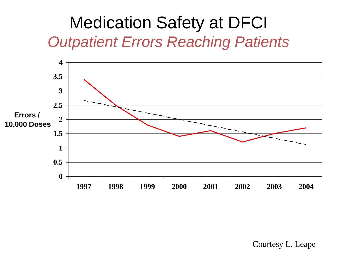#### Medication Safety at DFCI *Outpatient Errors Reaching Patients*



Courtesy L. Leape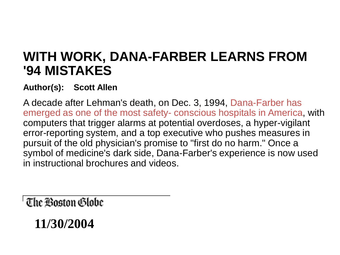#### **WITH WORK, DANA-FARBER LEARNS FROM '94 MISTAKES**

#### **Author(s): Scott Allen**

A decade after Lehman's death, on Dec. 3, 1994, Dana-Farber has emerged as one of the most safety- conscious hospitals in America, with computers that trigger alarms at potential overdoses, a hyper-vigilant error-reporting system, and a top executive who pushes measures in pursuit of the old physician's promise to "first do no harm." Once a symbol of medicine's dark side, Dana-Farber's experience is now used in instructional brochures and videos.

' The Boston Globe

**11/30/2004**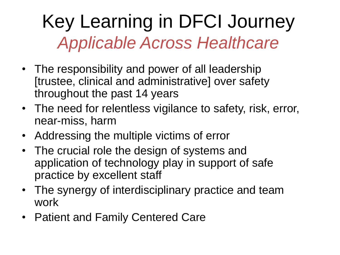## Key Learning in DFCI Journey *Applicable Across Healthcare*

- The responsibility and power of all leadership [trustee, clinical and administrative] over safety throughout the past 14 years
- The need for relentless vigilance to safety, risk, error, near-miss, harm
- Addressing the multiple victims of error
- The crucial role the design of systems and application of technology play in support of safe practice by excellent staff
- The synergy of interdisciplinary practice and team work
- Patient and Family Centered Care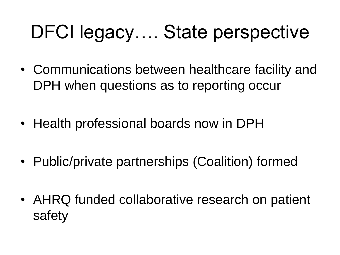## DFCI legacy…. State perspective

- Communications between healthcare facility and DPH when questions as to reporting occur
- Health professional boards now in DPH
- Public/private partnerships (Coalition) formed
- AHRQ funded collaborative research on patient safety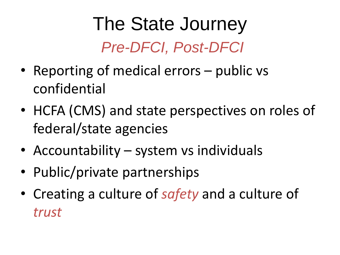## The State Journey *Pre-DFCI, Post-DFCI*

- Reporting of medical errors public vs confidential
- HCFA (CMS) and state perspectives on roles of federal/state agencies
- Accountability system vs individuals
- Public/private partnerships
- Creating a culture of *safety* and a culture of *trust*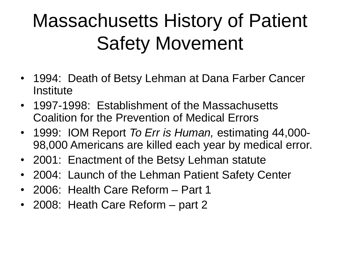## Massachusetts History of Patient Safety Movement

- 1994: Death of Betsy Lehman at Dana Farber Cancer **Institute**
- 1997-1998: Establishment of the Massachusetts Coalition for the Prevention of Medical Errors
- 1999: IOM Report *To Err is Human,* estimating 44,000- 98,000 Americans are killed each year by medical error.
- 2001: Enactment of the Betsy Lehman statute
- 2004: Launch of the Lehman Patient Safety Center
- 2006: Health Care Reform Part 1
- 2008: Heath Care Reform part 2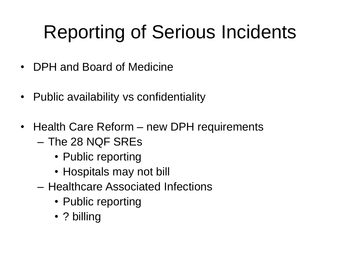# Reporting of Serious Incidents

- DPH and Board of Medicine
- Public availability vs confidentiality
- Health Care Reform new DPH requirements
	- The 28 NQF SREs
		- Public reporting
		- Hospitals may not bill
	- Healthcare Associated Infections
		- Public reporting
		- ? billing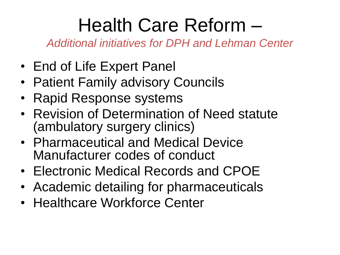## Health Care Reform –

*Additional initiatives for DPH and Lehman Center*

- End of Life Expert Panel
- Patient Family advisory Councils
- Rapid Response systems
- Revision of Determination of Need statute (ambulatory surgery clinics)
- Pharmaceutical and Medical Device Manufacturer codes of conduct
- Electronic Medical Records and CPOE
- Academic detailing for pharmaceuticals
- Healthcare Workforce Center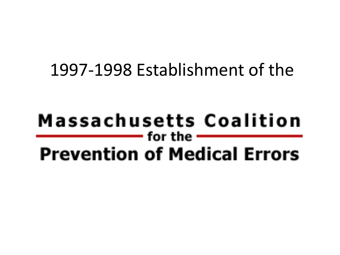#### 1997-1998 Establishment of the

#### Massachusetts Coalition — for the  $-$ **Prevention of Medical Errors**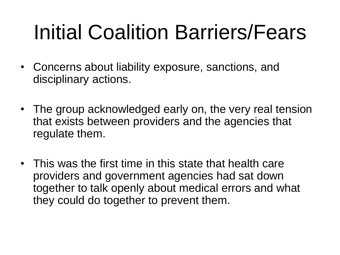# Initial Coalition Barriers/Fears

- Concerns about liability exposure, sanctions, and disciplinary actions.
- The group acknowledged early on, the very real tension that exists between providers and the agencies that regulate them.
- This was the first time in this state that health care providers and government agencies had sat down together to talk openly about medical errors and what they could do together to prevent them.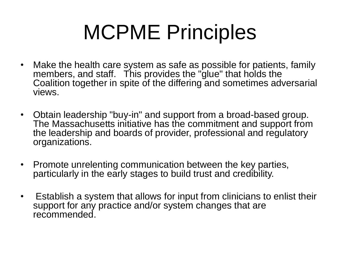# MCPME Principles

- Make the health care system as safe as possible for patients, family members, and staff. This provides the "glue" that holds the Coalition together in spite of the differing and sometimes adversarial views.
- Obtain leadership "buy-in" and support from a broad-based group. The Massachusetts initiative has the commitment and support from the leadership and boards of provider, professional and regulatory organizations.
- Promote unrelenting communication between the key parties, particularly in the early stages to build trust and credibility.
- Establish a system that allows for input from clinicians to enlist their support for any practice and/or system changes that are recommended.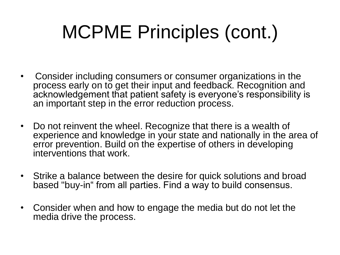## MCPME Principles (cont.)

- Consider including consumers or consumer organizations in the process early on to get their input and feedback. Recognition and acknowledgement that patient safety is everyone's responsibility is an important step in the error reduction process.
- Do not reinvent the wheel. Recognize that there is a wealth of experience and knowledge in your state and nationally in the area of error prevention. Build on the expertise of others in developing interventions that work.
- Strike a balance between the desire for quick solutions and broad based "buy-in" from all parties. Find a way to build consensus.
- Consider when and how to engage the media but do not let the media drive the process.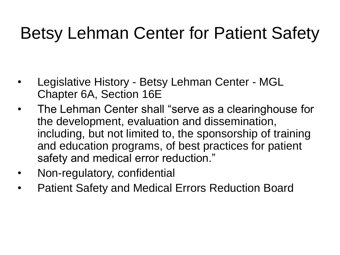## Betsy Lehman Center for Patient Safety

- Legislative History Betsy Lehman Center MGL Chapter 6A, Section 16E
- The Lehman Center shall "serve as a clearinghouse for the development, evaluation and dissemination, including, but not limited to, the sponsorship of training and education programs, of best practices for patient safety and medical error reduction."
- Non-regulatory, confidential
- Patient Safety and Medical Errors Reduction Board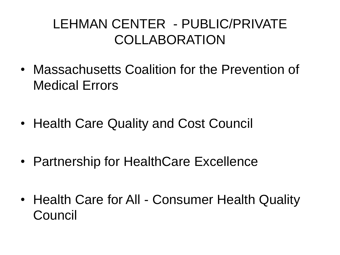#### LEHMAN CENTER - PUBLIC/PRIVATE COLLABORATION

- Massachusetts Coalition for the Prevention of Medical Errors
- Health Care Quality and Cost Council
- Partnership for HealthCare Excellence
- Health Care for All Consumer Health Quality Council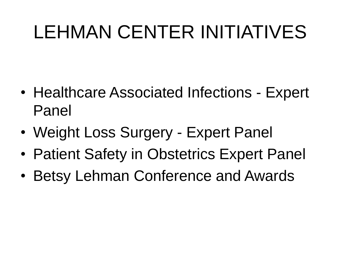## LEHMAN CENTER INITIATIVES

- Healthcare Associated Infections Expert Panel
- Weight Loss Surgery Expert Panel
- Patient Safety in Obstetrics Expert Panel
- Betsy Lehman Conference and Awards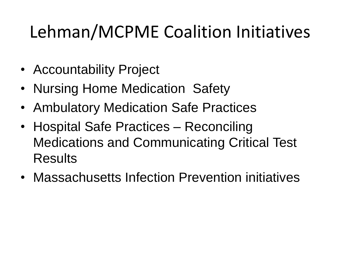## Lehman/MCPME Coalition Initiatives

- Accountability Project
- Nursing Home Medication Safety
- Ambulatory Medication Safe Practices
- Hospital Safe Practices Reconciling Medications and Communicating Critical Test Results
- Massachusetts Infection Prevention initiatives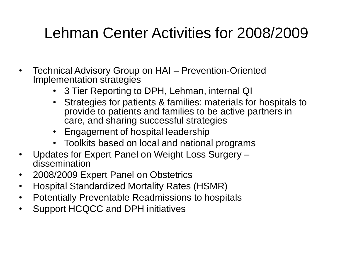#### Lehman Center Activities for 2008/2009

- Technical Advisory Group on HAI Prevention-Oriented Implementation strategies
	- 3 Tier Reporting to DPH, Lehman, internal QI
	- Strategies for patients & families: materials for hospitals to provide to patients and families to be active partners in care, and sharing successful strategies
	- Engagement of hospital leadership
	- Toolkits based on local and national programs
- Updates for Expert Panel on Weight Loss Surgery dissemination
- 2008/2009 Expert Panel on Obstetrics
- Hospital Standardized Mortality Rates (HSMR)
- Potentially Preventable Readmissions to hospitals
- Support HCQCC and DPH initiatives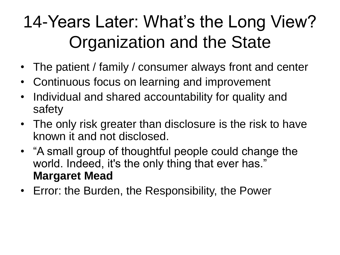## 14-Years Later: What's the Long View? Organization and the State

- The patient / family / consumer always front and center
- Continuous focus on learning and improvement
- Individual and shared accountability for quality and safety
- The only risk greater than disclosure is the risk to have known it and not disclosed.
- "A small group of thoughtful people could change the world. Indeed, it's the only thing that ever has." **Margaret Mead**
- Error: the Burden, the Responsibility, the Power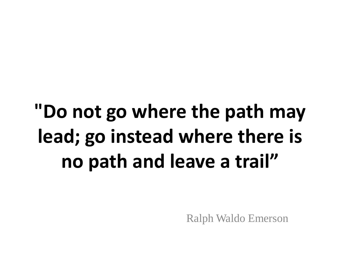# **"Do not go where the path may lead; go instead where there is no path and leave a trail"**

Ralph Waldo Emerson